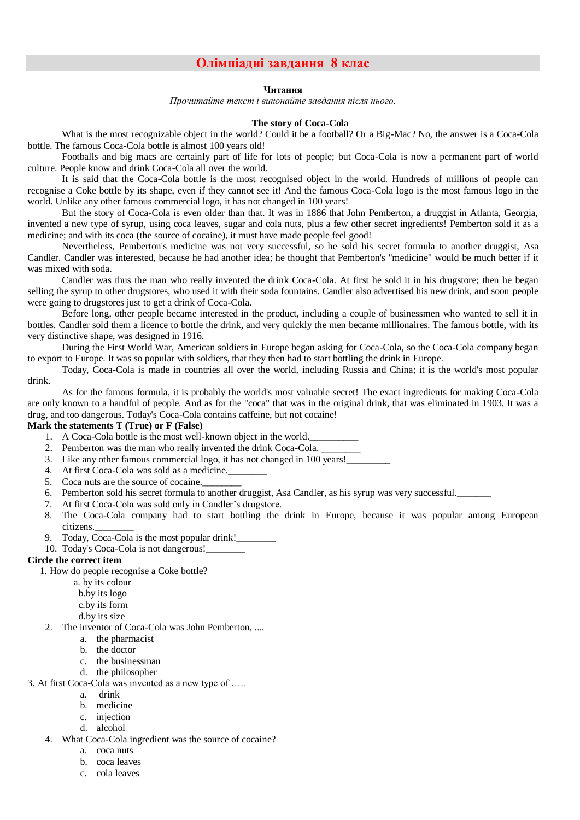# **Олімпіадні завдання 8 клас**

### **Читання**

*Прочитайте текст і виконайте завдання після нього.*

### **The story of Coca-Cola**

What is the most recognizable object in the world? Could it be a football? Or a Big-Mac? No, the answer is a Coca-Cola bottle. The famous Coca-Cola bottle is almost 100 years old!

Footballs and big macs are certainly part of life for lots of people; but Coca-Cola is now a permanent part of world culture. People know and drink Coca-Cola all over the world.

It is said that the Coca-Cola bottle is the most recognised object in the world. Hundreds of millions of people can recognise a Coke bottle by its shape, even if they cannot see it! And the famous Coca-Cola logo is the most famous logo in the world. Unlike any other famous commercial logo, it has not changed in 100 years!

But the story of Coca-Cola is even older than that. It was in 1886 that John Pemberton, a druggist in Atlanta, Georgia, invented a new type of syrup, using coca leaves, sugar and cola nuts, plus a few other secret ingredients! Pemberton sold it as a medicine; and with its coca (the source of cocaine), it must have made people feel good!

Nevertheless, Pemberton's medicine was not very successful, so he sold his secret formula to another druggist, Asa Candler. Candler was interested, because he had another idea; he thought that Pemberton's "medicine" would be much better if it was mixed with soda.

Candler was thus the man who really invented the drink Coca-Cola. At first he sold it in his drugstore; then he began selling the syrup to other drugstores, who used it with their soda fountains. Candler also advertised his new drink, and soon people were going to drugstores just to get a drink of Coca-Cola.

Before long, other people became interested in the product, including a couple of businessmen who wanted to sell it in bottles. Candler sold them a licence to bottle the drink, and very quickly the men became millionaires. The famous bottle, with its very distinctive shape, was designed in 1916.

During the First World War, American soldiers in Europe began asking for Coca-Cola, so the Coca-Cola company began to export to Europe. It was so popular with soldiers, that they then had to start bottling the drink in Europe.

Today, Coca-Cola is made in countries all over the world, including Russia and China; it is the world's most popular drink.

As for the famous formula, it is probably the world's most valuable secret! The exact ingredients for making Coca-Cola are only known to a handful of people. And as for the "coca" that was in the original drink, that was eliminated in 1903. It was a drug, and too dangerous. Today's Coca-Cola contains caffeine, but not cocaine!

# **Mark the statements T (True) or F (False)**

- 1. A Coca-Cola bottle is the most well-known object in the world.
- 2. Pemberton was the man who really invented the drink Coca-Cola. \_\_\_\_\_\_\_\_
- 3. Like any other famous commercial logo, it has not changed in 100 years!\_\_\_\_\_\_\_\_\_
- 4. At first Coca-Cola was sold as a medicine.
- 5. Coca nuts are the source of cocaine.
- 6. Pemberton sold his secret formula to another druggist, Asa Candler, as his syrup was very successful.
- 7. At first Coca-Cola was sold only in Candler's drugstore.
- 8. The Coca-Cola company had to start bottling the drink in Europe, because it was popular among European citizens.
- 9. Today, Coca-Cola is the most popular drink!
- 10. Today's Coca-Cola is not dangerous!

## **Circle the correct item**

1. How do people recognise a Coke bottle?

- a. by its colour
- b.by its logo
- c.by its form
- d.by its size
- 2. The inventor of Coca-Cola was John Pemberton, ....
	- a. the pharmacist
	- b. the doctor
	- c. the businessman
	- d. the philosopher
- 3. At first Coca-Cola was invented as a new type of …..
	- a. drink
		- b. medicine
		- c. injection
		- d. alcohol
	- 4. What Coca-Cola ingredient was the source of cocaine?
		- a. coca nuts
		- b. coca leaves
		- c. cola leaves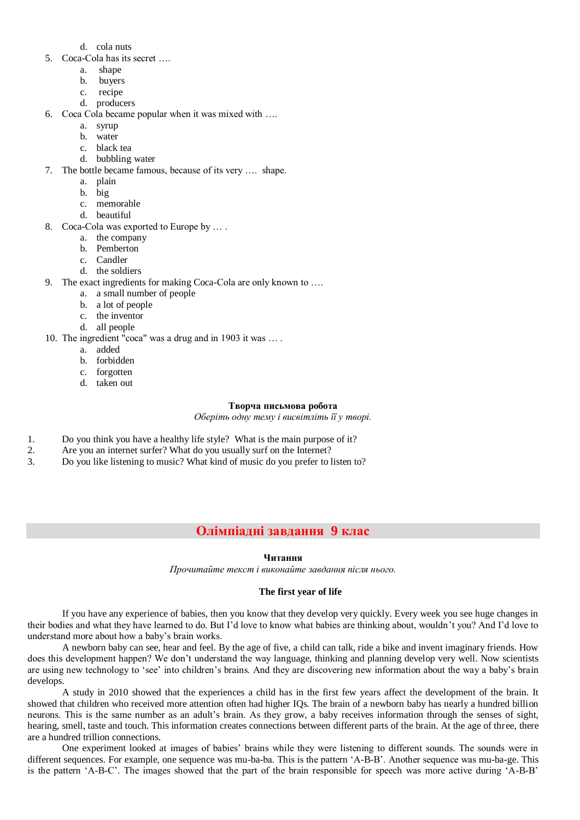- d. cola nuts
- 5. Coca-Cola has its secret ….
	- a. shape
	- b. buyers
	- c. recipe
	- d. producers
- 6. Coca Cola became popular when it was mixed with ….
	- a. syrup
	- b. water
	- c. black tea
	- d. bubbling water
- 7. The bottle became famous, because of its very …. shape.
	- a. plain
	- b. big
	- c. memorable
	- d. beautiful
- 8. Coca-Cola was exported to Europe by … .
	- a. the company
	- b. Pemberton
	- c. Candler
	- d. the soldiers
- 9. The exact ingredients for making Coca-Cola are only known to ….
	- a. a small number of people
	- b. a lot of people
	- c. the inventor
	- d. all people
- 10. The ingredient "coca" was a drug and in 1903 it was … .
	- a. added
	- b. forbidden
	- c. forgotten
	- d. taken out

### **Творча письмова робота**

*Оберіть одну тему і висвітліть її у творі.*

- 1. Do you think you have a healthy life style? What is the main purpose of it?
- 2. Are you an internet surfer? What do you usually surf on the Internet?
- 3. Do you like listening to music? What kind of music do you prefer to listen to?

# **Олімпіадні завдання 9 клас**

## **Читання**

*Прочитайте текст і виконайте завдання після нього.*

#### **The first year of life**

If you have any experience of babies, then you know that they develop very quickly. Every week you see huge changes in their bodies and what they have learned to do. But I'd love to know what babies are thinking about, wouldn't you? And I'd love to understand more about how a baby's brain works.

A newborn baby can see, hear and feel. By the age of five, a child can talk, ride a bike and invent imaginary friends. How does this development happen? We don't understand the way language, thinking and planning develop very well. Now scientists are using new technology to 'see' into children's brains. And they are discovering new information about the way a baby's brain develops.

A study in 2010 showed that the experiences a child has in the first few years affect the development of the brain. It showed that children who received more attention often had higher IQs. The brain of a newborn baby has nearly a hundred billion neurons. This is the same number as an adult's brain. As they grow, a baby receives information through the senses of sight, hearing, smell, taste and touch. This information creates connections between different parts of the brain. At the age of three, there are a hundred trillion connections.

One experiment looked at images of babies' brains while they were listening to different sounds. The sounds were in different sequences. For example, one sequence was mu-ba-ba. This is the pattern 'A-B-B'. Another sequence was mu-ba-ge. This is the pattern 'A-B-C'. The images showed that the part of the brain responsible for speech was more active during 'A-B-B'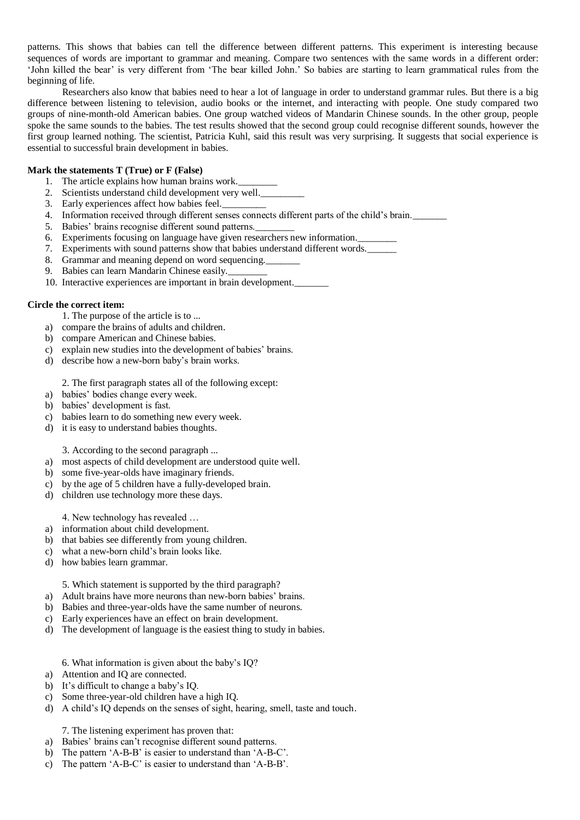patterns. This shows that babies can tell the difference between different patterns. This experiment is interesting because sequences of words are important to grammar and meaning. Compare two sentences with the same words in a different order: 'John killed the bear' is very different from 'The bear killed John.' So babies are starting to learn grammatical rules from the beginning of life.

Researchers also know that babies need to hear a lot of language in order to understand grammar rules. But there is a big difference between listening to television, audio books or the internet, and interacting with people. One study compared two groups of nine-month-old American babies. One group watched videos of Mandarin Chinese sounds. In the other group, people spoke the same sounds to the babies. The test results showed that the second group could recognise different sounds, however the first group learned nothing. The scientist, Patricia Kuhl, said this result was very surprising. It suggests that social experience is essential to successful brain development in babies.

## **Mark the statements T (True) or F (False)**

- 1. The article explains how human brains work.
- 2. Scientists understand child development very well.
- 3. Early experiences affect how babies feel.\_\_\_\_\_\_\_\_\_
- 4. Information received through different senses connects different parts of the child's brain.\_\_\_\_\_\_\_
- 5. Babies' brains recognise different sound patterns.
- 6. Experiments focusing on language have given researchers new information.
- 7. Experiments with sound patterns show that babies understand different words.
- 8. Grammar and meaning depend on word sequencing.
- 9. Babies can learn Mandarin Chinese easily.
- 10. Interactive experiences are important in brain development.\_\_\_\_\_\_\_

### **Circle the correct item:**

- 1. The purpose of the article is to ...
- a) compare the brains of adults and children.
- b) compare American and Chinese babies.
- c) explain new studies into the development of babies' brains.
- d) describe how a new-born baby's brain works.

2. The first paragraph states all of the following except:

- a) babies' bodies change every week.
- b) babies' development is fast.
- c) babies learn to do something new every week.
- d) it is easy to understand babies thoughts.

3. According to the second paragraph ...

- a) most aspects of child development are understood quite well.
- b) some five-year-olds have imaginary friends.
- c) by the age of 5 children have a fully-developed brain.
- d) children use technology more these days.

4. New technology has revealed …

- a) information about child development.
- b) that babies see differently from young children.
- c) what a new-born child's brain looks like.
- d) how babies learn grammar.

5. Which statement is supported by the third paragraph?

- a) Adult brains have more neurons than new-born babies' brains.
- b) Babies and three-year-olds have the same number of neurons.
- c) Early experiences have an effect on brain development.
- d) The development of language is the easiest thing to study in babies.

6. What information is given about the baby's IQ?

- a) Attention and IQ are connected.
- b) It's difficult to change a baby's IQ.
- c) Some three-year-old children have a high IQ.
- d) A child's IQ depends on the senses of sight, hearing, smell, taste and touch.

7. The listening experiment has proven that:

- a) Babies' brains can't recognise different sound patterns.
- b) The pattern 'A-B-B' is easier to understand than 'A-B-C'.
- c) The pattern 'A-B-C' is easier to understand than 'A-B-B'.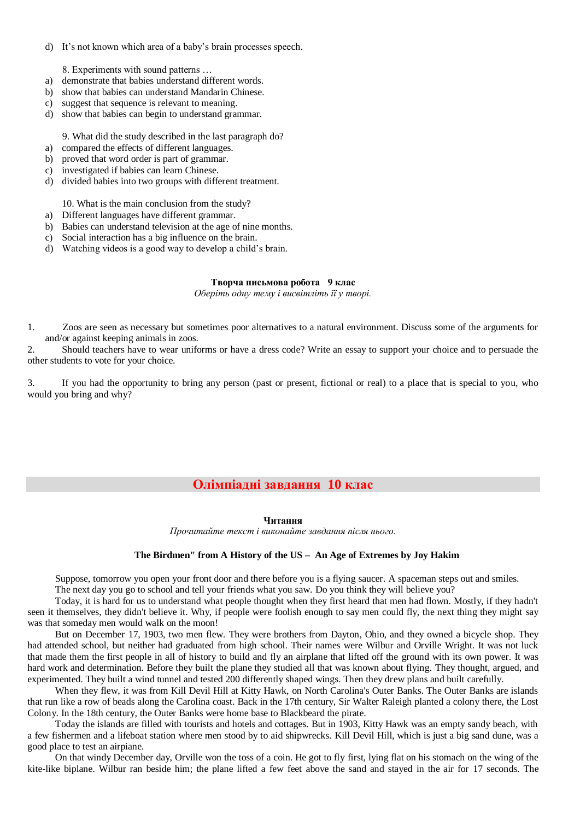d) It's not known which area of a baby's brain processes speech.

8. Experiments with sound patterns …

- a) demonstrate that babies understand different words.
- b) show that babies can understand Mandarin Chinese.
- c) suggest that sequence is relevant to meaning.
- d) show that babies can begin to understand grammar.

9. What did the study described in the last paragraph do?

- a) compared the effects of different languages.
- b) proved that word order is part of grammar.
- c) investigated if babies can learn Chinese.
- d) divided babies into two groups with different treatment.

10. What is the main conclusion from the study?

- a) Different languages have different grammar.
- b) Babies can understand television at the age of nine months.
- c) Social interaction has a big influence on the brain.
- d) Watching videos is a good way to develop a child's brain.

## **Творча письмова робота 9 клас**

*Оберіть одну тему і висвітліть її у творі.*

1. Zoos are seen as necessary but sometimes poor alternatives to a natural environment. Discuss some of the arguments for and/or against keeping animals in zoos.

2. Should teachers have to wear uniforms or have a dress code? Write an essay to support your choice and to persuade the other students to vote for your choice.

3. If you had the opportunity to bring any person (past or present, fictional or real) to a place that is special to you, who would you bring and why?

# **Олімпіадні завдання 10 клас**

### **Читання**

*Прочитайте текст і виконайте завдання після нього.*

## **The Birdmen" from A History of the US – An Age of Extremes by Joy Hakim**

Suppose, tomorrow you open your front door and there before you is a flying saucer. A spaceman steps out and smiles. The next day you go to school and tell your friends what you saw. Do you think they will believe you?

Today, it is hard for us to understand what people thought when they first heard that men had flown. Mostly, if they hadn't seen it themselves, they didn't believe it. Why, if people were foolish enough to say men could fly, the next thing they might say was that someday men would walk on the moon!

But on December 17, 1903, two men flew. They were brothers from Dayton, Ohio, and they owned a bicycle shop. They had attended school, but neither had graduated from high school. Their names were Wilbur and Orville Wright. It was not luck that made them the first people in all of history to build and fly an airplane that lifted off the ground with its own power. It was hard work and determination. Before they built the plane they studied all that was known about flying. They thought, argued, and experimented. They built a wind tunnel and tested 200 differently shaped wings. Then they drew plans and built carefully.

When they flew, it was from Kill Devil Hill at Kitty Hawk, on North Carolina's Outer Banks. The Outer Banks are islands that run like a row of beads along the Carolina coast. Back in the 17th century, Sir Walter Raleigh planted a colony there, the Lost Colony. In the 18th century, the Outer Banks were home base to Blackbeard the pirate.

Today the islands are filled with tourists and hotels and cottages. But in 1903, Kitty Hawk was an empty sandy beach, with a few fishermen and a lifeboat station where men stood by to aid shipwrecks. Kill Devil Hill, which is just a big sand dune, was a good place to test an airpiane.

On that windy December day, Orville won the toss of a coin. He got to fly first, lying flat on his stomach on the wing of the kite-like biplane. Wilbur ran beside him; the plane lifted a few feet above the sand and stayed in the air for 17 seconds. The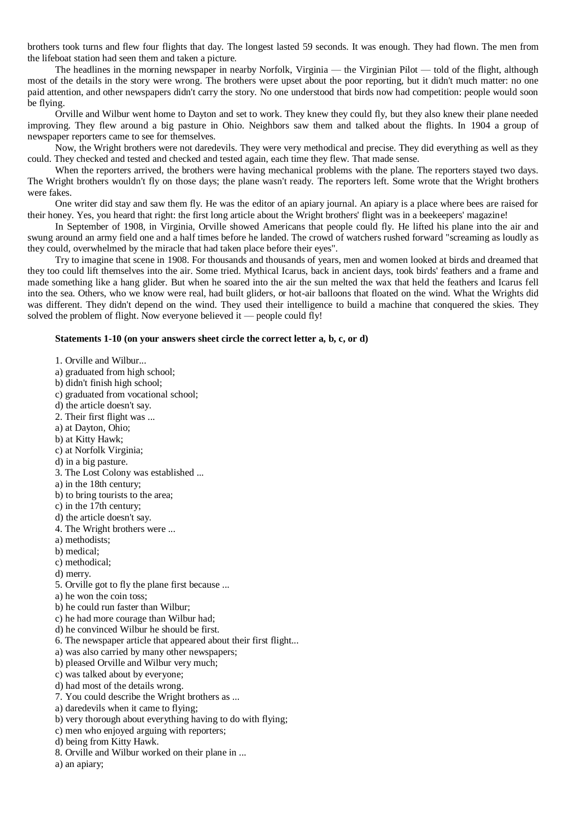brothers took turns and flew four flights that day. The longest lasted 59 seconds. It was enough. They had flown. The men from the lifeboat station had seen them and taken a picture.

The headlines in the morning newspaper in nearby Norfolk, Virginia — the Virginian Pilot — told of the flight, although most of the details in the story were wrong. The brothers were upset about the poor reporting, but it didn't much matter: no one paid attention, and other newspapers didn't carry the story. No one understood that birds now had competition: people would soon be flying.

Orville and Wilbur went home to Dayton and set to work. They knew they could fly, but they also knew their plane needed improving. They flew around a big pasture in Ohio. Neighbors saw them and talked about the flights. In 1904 a group of newspaper reporters came to see for themselves.

Now, the Wright brothers were not daredevils. They were very methodical and precise. They did everything as well as they could. They checked and tested and checked and tested again, each time they flew. That made sense.

When the reporters arrived, the brothers were having mechanical problems with the plane. The reporters stayed two days. The Wright brothers wouldn't fly on those days; the plane wasn't ready. The reporters left. Some wrote that the Wright brothers were fakes.

One writer did stay and saw them fly. He was the editor of an apiary journal. An apiary is a place where bees are raised for their honey. Yes, you heard that right: the first long article about the Wright brothers' flight was in a beekeepers' magazine!

In September of 1908, in Virginia, Orville showed Americans that people could fly. He lifted his plane into the air and swung around an army field one and a half times before he landed. The crowd of watchers rushed forward "screaming as loudly as they could, overwhelmed by the miracle that had taken place before their eyes".

Try to imagine that scene in 1908. For thousands and thousands of years, men and women looked at birds and dreamed that they too could lift themselves into the air. Some tried. Mythical Icarus, back in ancient days, took birds' feathers and a frame and made something like a hang glider. But when he soared into the air the sun melted the wax that held the feathers and Icarus fell into the sea. Others, who we know were real, had built gliders, or hot-air balloons that floated on the wind. What the Wrights did was different. They didn't depend on the wind. They used their intelligence to build a machine that conquered the skies. They solved the problem of flight. Now everyone believed it — people could fly!

#### **Statements 1-10 (on your answers sheet circle the correct letter a, b, c, or d)**

1. Orville and Wilbur... a) graduated from high school; b) didn't finish high school; c) graduated from vocational school; d) the article doesn't say. 2. Their first flight was ... a) at Dayton, Ohio; b) at Kitty Hawk; c) at Norfolk Virginia; d) in a big pasture. 3. The Lost Colony was established ... a) in the 18th century; b) to bring tourists to the area; c) in the 17th century; d) the article doesn't say. 4. The Wright brothers were ... a) methodists; b) medical; c) methodical; d) merry. 5. Orville got to fly the plane first because ... a) he won the coin toss; b) he could run faster than Wilbur; c) he had more courage than Wilbur had; d) he convinced Wilbur he should be first. 6. The newspaper article that appeared about their first flight... a) was also carried by many other newspapers; b) pleased Orville and Wilbur very much; c) was talked about by everyone; d) had most of the details wrong. 7. You could describe the Wright brothers as ... a) daredevils when it came to flying; b) very thorough about everything having to do with flying; c) men who enjoyed arguing with reporters; d) being from Kitty Hawk.

- 8. Orville and Wilbur worked on their plane in ...
- a) an apiary;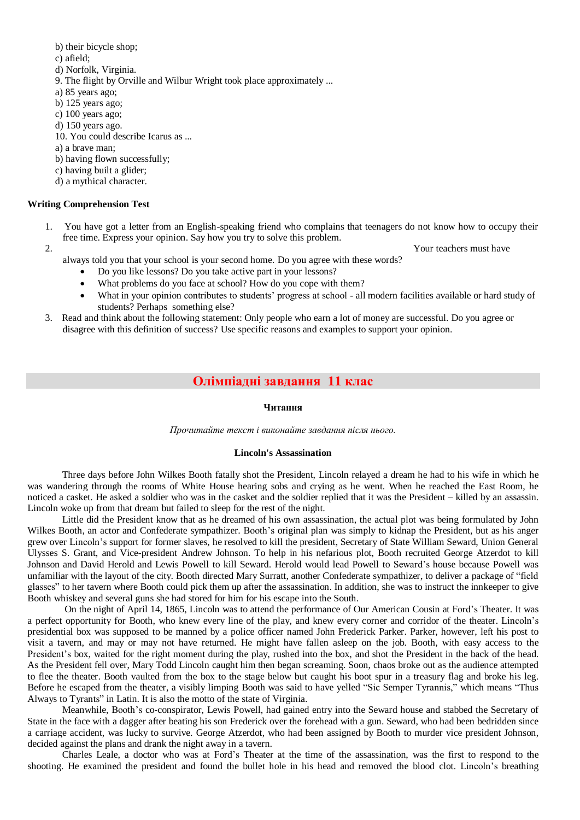b) their bicycle shop;

c) afield;

- d) Norfolk, Virginia.
- 9. The flight by Orville and Wilbur Wright took place approximately ...
- a) 85 years ago;
- b)  $125$  years ago;
- c) 100 years ago;
- d) 150 years ago.
- 10. You could describe Icarus as ...
- a) a brave man;
- b) having flown successfully;
- c) having built a glider;
- d) a mythical character.

## **Writing Comprehension Test**

1. You have got a letter from an English-speaking friend who complains that teenagers do not know how to occupy their free time. Express your opinion. Say how you try to solve this problem.

2. Your teachers must have not a set of the set of the set of the set of the set of the set of the set of the set of the set of the set of the set of the set of the set of the set of the set of the set of the set of the se always told you that your school is your second home. Do you agree with these words?

- Do you like lessons? Do you take active part in your lessons?
- What problems do you face at school? How do you cope with them?
- What in your opinion contributes to students' progress at school all modern facilities available or hard study of students? Perhaps something else?
- 3. Read and think about the following statement: Only people who earn a lot of money are successful. Do you agree or disagree with this definition of success? Use specific reasons and examples to support your opinion.

# **Олімпіадні завдання 11 клас**

#### **Читання**

*Прочитайте текст і виконайте завдання після нього.*

## **Lincoln's Assassination**

Three days before John Wilkes Booth fatally shot the President, Lincoln relayed a dream he had to his wife in which he was wandering through the rooms of White House hearing sobs and crying as he went. When he reached the East Room, he noticed a casket. He asked a soldier who was in the casket and the soldier replied that it was the President – killed by an assassin. Lincoln woke up from that dream but failed to sleep for the rest of the night.

Little did the President know that as he dreamed of his own assassination, the actual plot was being formulated by John Wilkes Booth, an actor and Confederate sympathizer. Booth's original plan was simply to kidnap the President, but as his anger grew over Lincoln's support for former slaves, he resolved to kill the president, Secretary of State William Seward, Union General Ulysses S. Grant, and Vice-president Andrew Johnson. To help in his nefarious plot, Booth recruited George Atzerdot to kill Johnson and David Herold and Lewis Powell to kill Seward. Herold would lead Powell to Seward's house because Powell was unfamiliar with the layout of the city. Booth directed Mary Surratt, another Confederate sympathizer, to deliver a package of "field glasses" to her tavern where Booth could pick them up after the assassination. In addition, she was to instruct the innkeeper to give Booth whiskey and several guns she had stored for him for his escape into the South.

On the night of April 14, 1865, Lincoln was to attend the performance of Our American Cousin at Ford's Theater. It was a perfect opportunity for Booth, who knew every line of the play, and knew every corner and corridor of the theater. Lincoln's presidential box was supposed to be manned by a police officer named John Frederick Parker. Parker, however, left his post to visit a tavern, and may or may not have returned. He might have fallen asleep on the job. Booth, with easy access to the President's box, waited for the right moment during the play, rushed into the box, and shot the President in the back of the head. As the President fell over, Mary Todd Lincoln caught him then began screaming. Soon, chaos broke out as the audience attempted to flee the theater. Booth vaulted from the box to the stage below but caught his boot spur in a treasury flag and broke his leg. Before he escaped from the theater, a visibly limping Booth was said to have yelled "Sic Semper Tyrannis," which means "Thus Always to Tyrants" in Latin. It is also the motto of the state of Virginia.

Meanwhile, Booth's co-conspirator, Lewis Powell, had gained entry into the Seward house and stabbed the Secretary of State in the face with a dagger after beating his son Frederick over the forehead with a gun. Seward, who had been bedridden since a carriage accident, was lucky to survive. George Atzerdot, who had been assigned by Booth to murder vice president Johnson, decided against the plans and drank the night away in a tavern.

Charles Leale, a doctor who was at Ford's Theater at the time of the assassination, was the first to respond to the shooting. He examined the president and found the bullet hole in his head and removed the blood clot. Lincoln's breathing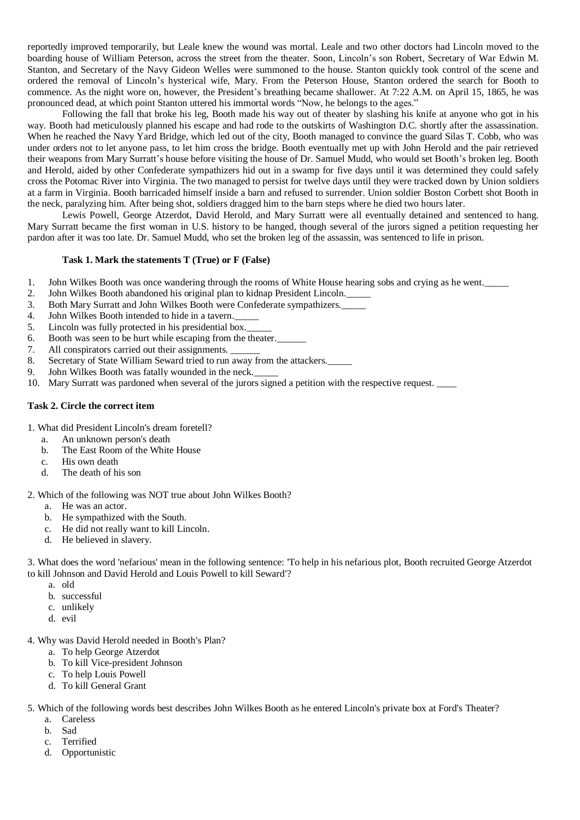reportedly improved temporarily, but Leale knew the wound was mortal. Leale and two other doctors had Lincoln moved to the boarding house of William Peterson, across the street from the theater. Soon, Lincoln's son Robert, Secretary of War Edwin M. Stanton, and Secretary of the Navy Gideon Welles were summoned to the house. Stanton quickly took control of the scene and ordered the removal of Lincoln's hysterical wife, Mary. From the Peterson House, Stanton ordered the search for Booth to commence. As the night wore on, however, the President's breathing became shallower. At 7:22 A.M. on April 15, 1865, he was pronounced dead, at which point Stanton uttered his immortal words "Now, he belongs to the ages."

Following the fall that broke his leg, Booth made his way out of theater by slashing his knife at anyone who got in his way. Booth had meticulously planned his escape and had rode to the outskirts of Washington D.C. shortly after the assassination. When he reached the Navy Yard Bridge, which led out of the city, Booth managed to convince the guard Silas T. Cobb, who was under orders not to let anyone pass, to let him cross the bridge. Booth eventually met up with John Herold and the pair retrieved their weapons from Mary Surratt's house before visiting the house of Dr. Samuel Mudd, who would set Booth's broken leg. Booth and Herold, aided by other Confederate sympathizers hid out in a swamp for five days until it was determined they could safely cross the Potomac River into Virginia. The two managed to persist for twelve days until they were tracked down by Union soldiers at a farm in Virginia. Booth barricaded himself inside a barn and refused to surrender. Union soldier Boston Corbett shot Booth in the neck, paralyzing him. After being shot, soldiers dragged him to the barn steps where he died two hours later.

Lewis Powell, George Atzerdot, David Herold, and Mary Surratt were all eventually detained and sentenced to hang. Mary Surratt became the first woman in U.S. history to be hanged, though several of the jurors signed a petition requesting her pardon after it was too late. Dr. Samuel Mudd, who set the broken leg of the assassin, was sentenced to life in prison.

## **Task 1. Mark the statements T (True) or F (False)**

- 1. John Wilkes Booth was once wandering through the rooms of White House hearing sobs and crying as he went.
- 2. John Wilkes Booth abandoned his original plan to kidnap President Lincoln.\_\_\_\_\_
- 3. Both Mary Surratt and John Wilkes Booth were Confederate sympathizers.\_\_\_\_\_
- 4. John Wilkes Booth intended to hide in a tavern.
- 5. Lincoln was fully protected in his presidential box.
- 6. Booth was seen to be hurt while escaping from the theater.
- 7. All conspirators carried out their assignments.
- 8. Secretary of State William Seward tried to run away from the attackers.
- 9. John Wilkes Booth was fatally wounded in the neck.
- 10. Mary Surratt was pardoned when several of the jurors signed a petition with the respective request. \_\_\_\_

### **Task 2. Circle the correct item**

- 1. What did President Lincoln's dream foretell?
	- a. An unknown person's death
	- b. The East Room of the White House
	- c. His own death
	- d. The death of his son

#### 2. Which of the following was NOT true about John Wilkes Booth?

- a. He was an actor.
	- b. He sympathized with the South.
	- c. He did not really want to kill Lincoln.
	- d. He believed in slavery.

3. What does the word 'nefarious' mean in the following sentence: 'To help in his nefarious plot, Booth recruited George Atzerdot to kill Johnson and David Herold and Louis Powell to kill Seward'?

- a. old
- b. successful
- c. unlikely
- d. evil
- 4. Why was David Herold needed in Booth's Plan?
	- a. To help George Atzerdot
	- b. To kill Vice-president Johnson
	- c. To help Louis Powell
	- d. To kill General Grant

5. Which of the following words best describes John Wilkes Booth as he entered Lincoln's private box at Ford's Theater?

- a. Careless
- b. Sad
- c. Terrified
- d. Opportunistic